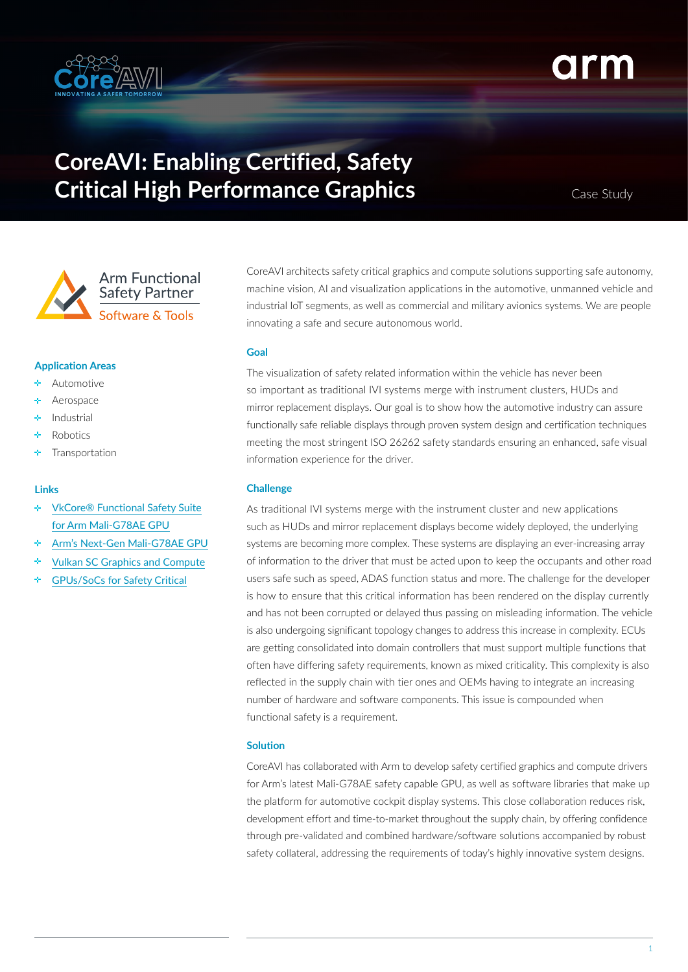

# **CoreAVI: Enabling Certified, Safety Critical High Performance Graphics**

Case Study



# **Application Areas**

- Automotive
- Aerospace
- Industrial
- Robotics
- Transportation

#### **Links**

- [VkCore® Functional Safety Suite](https://coreavi.com/wp-content/uploads/CoreAVI-ProductBrief-VkCore-Functional-Safety-Suite-for-Arm-Mali-GPU.pdf) ÷ [for Arm Mali-G78AE GPU](https://coreavi.com/wp-content/uploads/CoreAVI-ProductBrief-VkCore-Functional-Safety-Suite-for-Arm-Mali-GPU.pdf)
- [Arm's Next-Gen Mali-G78AE GPU](https://coreavi.com/news/next-gen-mali-g78ae-gpu/)
- ٠ [Vulkan SC Graphics and Compute](https://coreavi.com/product_category/safety-critical-graphics-and-compute/)
- [GPUs/SoCs for Safety Critical](https://coreavi.com/product_category/gpus-socs-for-safety-critical/)

CoreAVI architects safety critical graphics and compute solutions supporting safe autonomy, machine vision, AI and visualization applications in the automotive, unmanned vehicle and industrial IoT segments, as well as commercial and military avionics systems. We are people innovating a safe and secure autonomous world.

## **Goal**

The visualization of safety related information within the vehicle has never been so important as traditional IVI systems merge with instrument clusters, HUDs and mirror replacement displays. Our goal is to show how the automotive industry can assure functionally safe reliable displays through proven system design and certification techniques meeting the most stringent ISO 26262 safety standards ensuring an enhanced, safe visual information experience for the driver.

### **Challenge**

As traditional IVI systems merge with the instrument cluster and new applications such as HUDs and mirror replacement displays become widely deployed, the underlying systems are becoming more complex. These systems are displaying an ever-increasing array of information to the driver that must be acted upon to keep the occupants and other road users safe such as speed, ADAS function status and more. The challenge for the developer is how to ensure that this critical information has been rendered on the display currently and has not been corrupted or delayed thus passing on misleading information. The vehicle is also undergoing significant topology changes to address this increase in complexity. ECUs are getting consolidated into domain controllers that must support multiple functions that often have differing safety requirements, known as mixed criticality. This complexity is also reflected in the supply chain with tier ones and OEMs having to integrate an increasing number of hardware and software components. This issue is compounded when functional safety is a requirement.

#### **Solution**

CoreAVI has collaborated with Arm to develop safety certified graphics and compute drivers for Arm's latest Mali-G78AE safety capable GPU, as well as software libraries that make up the platform for automotive cockpit display systems. This close collaboration reduces risk, development effort and time-to-market throughout the supply chain, by offering confidence through pre-validated and combined hardware/software solutions accompanied by robust safety collateral, addressing the requirements of today's highly innovative system designs.